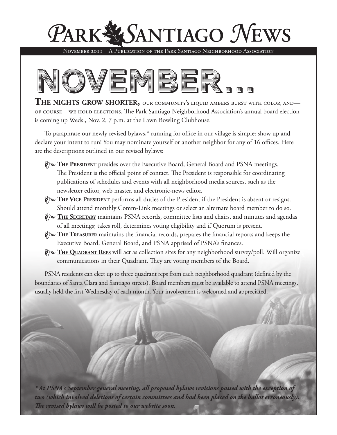

November 2011 A Publication of the Park Santiago Neighborhood Association



**The nights grow shorter,** our community's liquid ambers burst with color, and of course—we hold elections. The Park Santiago Neighborhood Association's annual board election is coming up Weds., Nov. 2, 7 p.m. at the Lawn Bowling Clubhouse.

To paraphrase our newly revised bylaws,\* running for office in our village is simple: show up and declare your intent to run! You may nominate yourself or another neighbor for any of 16 offices. Here are the descriptions outlined in our revised bylaws:

- **P**i FILE PRESIDENT presides over the Executive Board, General Board and PSNA meetings. The President is the official point of contact. The President is responsible for coordinating publications of schedules and events with all neighborhood media sources, such as the newsletter editor, web master, and electronic-news editor.
- •• **The Vice President** performs all duties of the President if the President is absent or resigns. Should attend monthly Comm-Link meetings or select an alternate board member to do so.
- •• **The Secretary** maintains PSNA records, committee lists and chairs, and minutes and agendas of all meetings; takes roll, determines voting eligibility and if Quorum is present.
- $\delta \sim$  THE TREASURER maintains the financial records, prepares the financial reports and keeps the Executive Board, General Board, and PSNA apprised of PSNA's finances.
- •• **The Quadrant Reps** will act as collection sites for any neighborhood survey/poll. Will organize communications in their Quadrant. They are voting members of the Board.

PSNA residents can elect up to three quadrant reps from each neighborhood quadrant (defined by the boundaries of Santa Clara and Santiago streets). Board members must be available to attend PSNA meetings, usually held the first Wednesday of each month. Your involvement is welcomed and appreciated.

*\* At PSNA's September general meeting, all proposed bylaws revisions passed with the exception of two (which involved deletions of certain committees and had been placed on the ballot erroneously). The revised bylaws will be posted to our website soon.*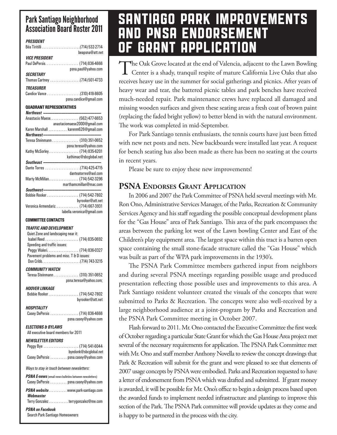### Park Santiago Neighborhood Association Board Roster 2011

| PRESIDENT                                                                 |
|---------------------------------------------------------------------------|
|                                                                           |
| beapsna@att.net                                                           |
| <i><b>VICE PRESIDENT</b></i>                                              |
|                                                                           |
| psna.paul@yahoo.com                                                       |
| <i><b>SECRETARY</b></i>                                                   |
|                                                                           |
| <b><i>TREASURER</i></b>                                                   |
| Candice Vance (310) 418-8605                                              |
| psna.candice@gmail.com                                                    |
| <b>QUADRANT REPRESENTATIVES</b>                                           |
| Northeast -----------------                                               |
| Anastacio Maese. (562) 477-6653                                           |
| anastaciomaese2000@gmail.com                                              |
| Karen Marshall karenm626@gmail.com                                        |
|                                                                           |
| Teresa Steinmann (310) 351-0652                                           |
| psna.teresa@yahoo.com                                                     |
| Kathy McSorley (714) 835-6201                                             |
|                                                                           |
|                                                                           |
| danteatorres@aol.com                                                      |
| Marty McMillan. (714) 542-3296                                            |
| marthamcmillan@mac.com                                                    |
|                                                                           |
| Bobbie Rooker  (714) 542-7802                                             |
| byrooker@att.net                                                          |
| Veronica Armendariz (714) 667-3931                                        |
| labella.veronica@gmail.com                                                |
| <b>COMMITTEE CONTACTS</b>                                                 |
|                                                                           |
|                                                                           |
| Traffic and development                                                   |
| Quiet Zone and landscaping near it:                                       |
| Isabel Reed  (714) 835-0692                                               |
| Speeding and traffic issues:                                              |
| Peggy Waleri. (714) 836-0327<br>Pavement problems and misc. T & D issues: |
|                                                                           |
|                                                                           |
| <b>COMMUNITY WATCH</b>                                                    |
| Teresa Steinmann (310) 351-0652                                           |
| psna.teresa@yahoo.com;                                                    |
| HOOVER LINKAGE                                                            |
| Bobbie Rooker (714) 542-7802                                              |
| byrooker@att.net                                                          |
| <b>HOSPITALITY</b>                                                        |
| Casey DePersis  (714) 836-4666                                            |
| psna.casey@yahoo.com                                                      |
| <b>ELECTIONS &amp; BYLAWS</b>                                             |
| All executive board members for 2011                                      |
|                                                                           |
| <b>NEWSLETTER EDITORS</b>                                                 |
| Peggy Bye  (714) 541-6044<br>byedonk@sbcglobal.net                        |
| Casey DePersis  psna.casey@yahoo.com                                      |
|                                                                           |
| Ways to stay in touch between newsletters:                                |
| <b>PSNA E-news</b> (email news bulletins between newsletters)             |
|                                                                           |
| Casey DePersis  psna.casey@yahoo.com                                      |
| PSNA website www.park-santiago.com                                        |
| Webmaster                                                                 |
| Terry Gonzalezterrygonzalez@me.com<br><b>PSNA on Facebook</b>             |

Search Park Santiago Homeowners

### SANTIAGO PARK IMPROVEMENTS AND PNSA ENDORSEMENT **GRANT APPLICATION**

The Oak Grove located at the end of Valencia, adjacent to the Lawn Bowling  $\perp$  Center is a shady, tranquil respite of mature California Live Oaks that also receives heavy use in the summer for social gatherings and picnics. After years of heavy wear and tear, the battered picnic tables and park benches have received much-needed repair. Park maintenance crews have replaced all damaged and missing wooden surfaces and given these seating areas a fresh coat of brown paint (replacing the faded bright yellow) to better blend in with the natural environment. The work was completed in mid-September.

For Park Santiago tennis enthusiasts, the tennis courts have just been fitted with new net posts and nets. New backboards were installed last year. A request for bench seating has also been made as there has been no seating at the courts in recent years.

Please be sure to enjoy these new improvements!

#### **PSNA Endorses Grant Application**

In 2006 and 2007 the Park Committee of PSNA held several meetings with Mr. Ron Ono, Administrative Services Manager, of the Parks, Recreation & Community Services Agency and his staff regarding the possible conceptual development plans for the "Gas House" area of Park Santiago. This area of the park encompasses the areas between the parking lot west of the Lawn bowling Center and East of the Children's play equipment area. The largest space within this tract is a barren open space containing the small stone-facade structure called the "Gas House" which was built as part of the WPA park improvements in the 1930's.

The PSNA Park Committee members gathered input from neighbors and during several PSNA meetings regarding possible usage and produced presentation reflecting those possible uses and improvements to this area. A Park Santiago resident volunteer created the visuals of the concepts that were submitted to Parks & Recreation. The concepts were also well-received by a large neighborhood audience at a joint-program by Parks and Recreation and the PSNA Park Committee meeting in October 2007.

Flash forward to 2011. Mr. Ono contacted the Executive Committee the first week of October regarding a particular State Grant for which the Gas House Area project met several of the necessary requirements for application. The PSNA Park Committee met with Mr. Ono and staff member Anthony Novella to review the concept drawings that Park & Recreation will submit for the grant and were pleased to see that elements of 2007 usage concepts by PSNA were embodied. Parks and Recreation requested to have a letter of endorsement from PSNA which was drafted and submitted. If grant money is awarded, it will be possible for Mr. Ono's office to begin a design process based upon the awarded funds to implement needed infrastructure and plantings to improve this section of the Park. The PSNA Park committee will provide updates as they come and is happy to be partnered in the process with the city.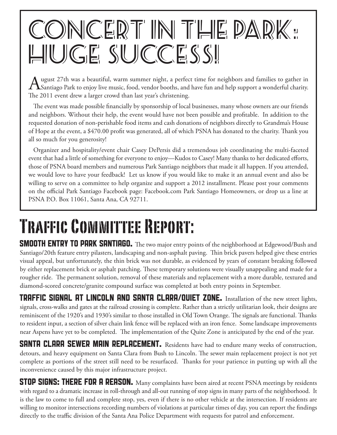# CONCERT IN THE PARK: HUGE SUCCESS!

August 27th was a beautiful, warm summer night, a perfect time for neighbors and families to gather in Santiago Park to enjoy live music, food, vendor booths, and have fun and help support a wonderful charity. The 2011 event drew a larger crowd than last year's christening.

The event was made possible financially by sponsorship of local businesses, many whose owners are our friends and neighbors. Without their help, the event would have not been possible and profitable. In addition to the requested donation of non-perishable food items and cash donations of neighbors directly to Grandma's House of Hope at the event, a \$470.00 profit was generated, all of which PSNA has donated to the charity. Thank you all so much for you generosity!

Organizer and hospitality/event chair Casey DePersis did a tremendous job coordinating the multi-faceted event that had a little of something for everyone to enjoy—Kudos to Casey! Many thanks to her dedicated efforts, those of PSNA board members and numerous Park Santiago neighbors that made it all happen. If you attended, we would love to have your feedback! Let us know if you would like to make it an annual event and also be willing to serve on a committee to help organize and support a 2012 installment. Please post your comments on the official Park Santiago Facebook page: Facebook.com Park Santiago Homeowners, or drop us a line at PSNA P.O. Box 11061, Santa Ana, CA 92711.

## Traffic Committee Report:

SMOOTH ENTRY TO PARK SANTIAGO. The two major entry points of the neighborhood at Edgewood/Bush and Santiago/20th feature entry pilasters, landscaping and non-asphalt paving. Thin brick pavers helped give these entries visual appeal, but unfortunately, the thin brick was not durable, as evidenced by years of constant breaking followed by either replacement brick or asphalt patching. These temporary solutions were visually unappealing and made for a rougher ride. The permanent solution, removal of these materials and replacement with a more durable, textured and diamond-scored concrete/granite compound surface was completed at both entry points in September.

TRAFFIC SIGNAL AT LINCOLN AND SANTA CLARA/QUIET ZONE. Installation of the new street lights, signals, cross-walks and gates at the railroad crossing is complete. Rather than a strictly utilitarian look, their designs are reminiscent of the 1920's and 1930's similar to those installed in Old Town Orange. The signals are functional. Thanks to resident input, a section of silver chain link fence will be replaced with an iron fence. Some landscape improvements near Aspens have yet to be completed. The implementation of the Quite Zone is anticipated by the end of the year.

SANTA CLARA SEWER MAIN REPLACEMENT. Residents have had to endure many weeks of construction, detours, and heavy equipment on Santa Clara from Bush to Lincoln. The sewer main replacement project is not yet complete as portions of the street still need to be resurfaced. Thanks for your patience in putting up with all the inconvenience caused by this major infrastructure project.

STOP SIGNS: THERE FOR A REASON. Many complaints have been aired at recent PSNA meetings by residents with regard to a dramatic increase in roll-through and all-out running of stop signs in many parts of the neighborhood. It is the law to come to full and complete stop, yes, even if there is no other vehicle at the intersection. If residents are willing to monitor intersections recording numbers of violations at particular times of day, you can report the findings directly to the traffic division of the Santa Ana Police Department with requests for patrol and enforcement.